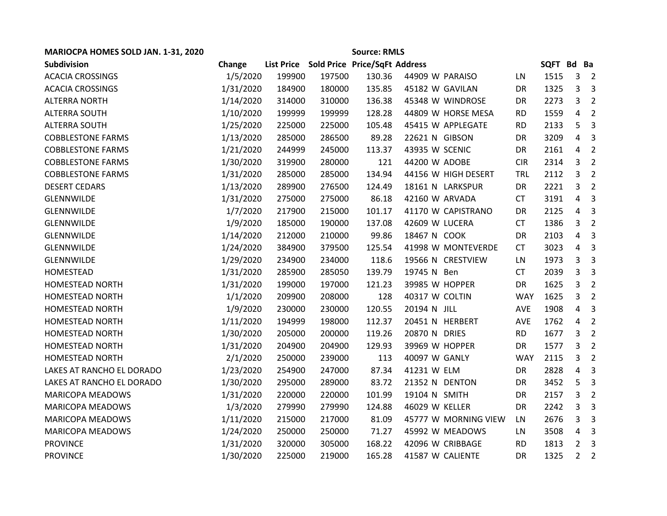| MARIOCPA HOMES SOLD JAN. 1-31, 2020 | <b>Source: RMLS</b> |        |        |                                          |                |                      |            |         |                |                          |
|-------------------------------------|---------------------|--------|--------|------------------------------------------|----------------|----------------------|------------|---------|----------------|--------------------------|
| <b>Subdivision</b>                  | Change              |        |        | List Price Sold Price Price/SqFt Address |                |                      |            | SQFT Bd |                | Ba                       |
| <b>ACACIA CROSSINGS</b>             | 1/5/2020            | 199900 | 197500 | 130.36                                   |                | 44909 W PARAISO      | LN.        | 1515    | 3              | $\overline{\phantom{0}}$ |
| <b>ACACIA CROSSINGS</b>             | 1/31/2020           | 184900 | 180000 | 135.85                                   |                | 45182 W GAVILAN      | DR         | 1325    | 3              | $\mathbf{3}$             |
| <b>ALTERRA NORTH</b>                | 1/14/2020           | 314000 | 310000 | 136.38                                   |                | 45348 W WINDROSE     | DR         | 2273    | 3              | $\overline{2}$           |
| <b>ALTERRA SOUTH</b>                | 1/10/2020           | 199999 | 199999 | 128.28                                   |                | 44809 W HORSE MESA   | <b>RD</b>  | 1559    | 4              | $\overline{2}$           |
| ALTERRA SOUTH                       | 1/25/2020           | 225000 | 225000 | 105.48                                   |                | 45415 W APPLEGATE    | <b>RD</b>  | 2133    | 5              | $\overline{3}$           |
| <b>COBBLESTONE FARMS</b>            | 1/13/2020           | 285000 | 286500 | 89.28                                    | 22621 N GIBSON |                      | DR         | 3209    | 4              | $\overline{3}$           |
| <b>COBBLESTONE FARMS</b>            | 1/21/2020           | 244999 | 245000 | 113.37                                   | 43935 W SCENIC |                      | DR         | 2161    | 4              | $\overline{2}$           |
| <b>COBBLESTONE FARMS</b>            | 1/30/2020           | 319900 | 280000 | 121                                      | 44200 W ADOBE  |                      | <b>CIR</b> | 2314    | 3              | $\overline{2}$           |
| <b>COBBLESTONE FARMS</b>            | 1/31/2020           | 285000 | 285000 | 134.94                                   |                | 44156 W HIGH DESERT  | <b>TRL</b> | 2112    | 3              | $\overline{2}$           |
| <b>DESERT CEDARS</b>                | 1/13/2020           | 289900 | 276500 | 124.49                                   |                | 18161 N LARKSPUR     | DR         | 2221    | 3              | $\overline{2}$           |
| <b>GLENNWILDE</b>                   | 1/31/2020           | 275000 | 275000 | 86.18                                    | 42160 W ARVADA |                      | <b>CT</b>  | 3191    | 4              | $\overline{3}$           |
| <b>GLENNWILDE</b>                   | 1/7/2020            | 217900 | 215000 | 101.17                                   |                | 41170 W CAPISTRANO   | DR         | 2125    | 4              | $\overline{3}$           |
| GLENNWILDE                          | 1/9/2020            | 185000 | 190000 | 137.08                                   | 42609 W LUCERA |                      | <b>CT</b>  | 1386    | 3              | $\overline{2}$           |
| GLENNWILDE                          | 1/14/2020           | 212000 | 210000 | 99.86                                    | 18467 N COOK   |                      | DR         | 2103    | 4              | $\overline{3}$           |
| GLENNWILDE                          | 1/24/2020           | 384900 | 379500 | 125.54                                   |                | 41998 W MONTEVERDE   | <b>CT</b>  | 3023    | 4              | $\overline{3}$           |
| <b>GLENNWILDE</b>                   | 1/29/2020           | 234900 | 234000 | 118.6                                    |                | 19566 N CRESTVIEW    | LN         | 1973    | 3              | 3                        |
| HOMESTEAD                           | 1/31/2020           | 285900 | 285050 | 139.79                                   | 19745 N Ben    |                      | <b>CT</b>  | 2039    | 3              | 3                        |
| <b>HOMESTEAD NORTH</b>              | 1/31/2020           | 199000 | 197000 | 121.23                                   | 39985 W HOPPER |                      | DR         | 1625    | 3              | $\overline{2}$           |
| <b>HOMESTEAD NORTH</b>              | 1/1/2020            | 209900 | 208000 | 128                                      | 40317 W COLTIN |                      | <b>WAY</b> | 1625    | 3              | $\overline{2}$           |
| <b>HOMESTEAD NORTH</b>              | 1/9/2020            | 230000 | 230000 | 120.55                                   | 20194 N JILL   |                      | AVE        | 1908    | 4              | $\overline{3}$           |
| HOMESTEAD NORTH                     | 1/11/2020           | 194999 | 198000 | 112.37                                   |                | 20451 N HERBERT      | <b>AVE</b> | 1762    | 4              | $\overline{2}$           |
| <b>HOMESTEAD NORTH</b>              | 1/30/2020           | 205000 | 200000 | 119.26                                   | 20870 N DRIES  |                      | <b>RD</b>  | 1677    | 3              | $\overline{2}$           |
| <b>HOMESTEAD NORTH</b>              | 1/31/2020           | 204900 | 204900 | 129.93                                   | 39969 W HOPPER |                      | DR         | 1577    | 3              | $\overline{2}$           |
| HOMESTEAD NORTH                     | 2/1/2020            | 250000 | 239000 | 113                                      | 40097 W GANLY  |                      | <b>WAY</b> | 2115    | 3              | $\overline{2}$           |
| LAKES AT RANCHO EL DORADO           | 1/23/2020           | 254900 | 247000 | 87.34                                    | 41231 W ELM    |                      | DR         | 2828    | 4              | $\overline{3}$           |
| LAKES AT RANCHO EL DORADO           | 1/30/2020           | 295000 | 289000 | 83.72                                    | 21352 N DENTON |                      | DR         | 3452    | 5              | 3                        |
| <b>MARICOPA MEADOWS</b>             | 1/31/2020           | 220000 | 220000 | 101.99                                   | 19104 N SMITH  |                      | DR         | 2157    | 3              | $\overline{2}$           |
| <b>MARICOPA MEADOWS</b>             | 1/3/2020            | 279990 | 279990 | 124.88                                   | 46029 W KELLER |                      | DR         | 2242    | 3              | 3                        |
| <b>MARICOPA MEADOWS</b>             | 1/11/2020           | 215000 | 217000 | 81.09                                    |                | 45777 W MORNING VIEW | LN         | 2676    | 3              | $\overline{3}$           |
| <b>MARICOPA MEADOWS</b>             | 1/24/2020           | 250000 | 250000 | 71.27                                    |                | 45992 W MEADOWS      | LN         | 3508    | 4              | $\overline{3}$           |
| <b>PROVINCE</b>                     | 1/31/2020           | 320000 | 305000 | 168.22                                   |                | 42096 W CRIBBAGE     | <b>RD</b>  | 1813    | $2^{\circ}$    | $\overline{\mathbf{3}}$  |
| <b>PROVINCE</b>                     | 1/30/2020           | 225000 | 219000 | 165.28                                   |                | 41587 W CALIENTE     | <b>DR</b>  | 1325    | $\overline{2}$ | $\overline{2}$           |